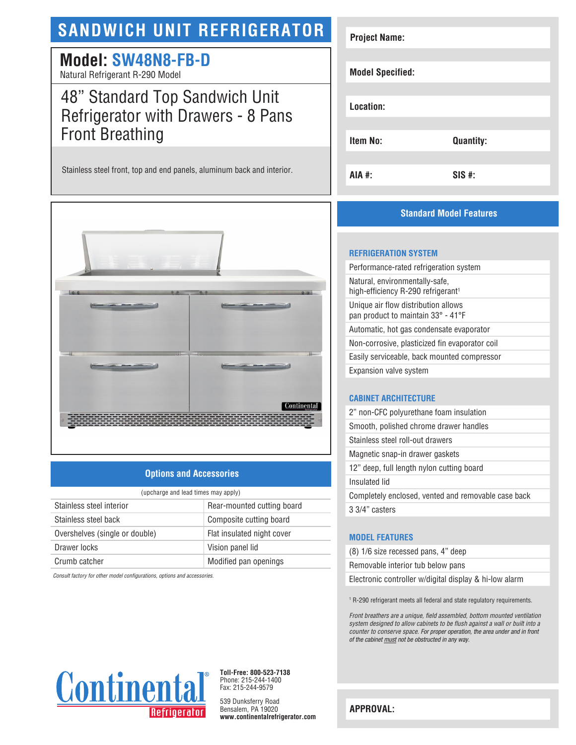# **SANDWICH UNIT REFRIGERATOR**

## **Model: SW48N8-FB-D**

Natural Refrigerant R-290 Model

## 48" Standard Top Sandwich Unit Refrigerator with Drawers - 8 Pans Front Breathing

Stainless steel front, top and end panels, aluminum back and interior.



## **Options and Accessories**

| (upcharge and lead times may apply) |                            |  |
|-------------------------------------|----------------------------|--|
| Stainless steel interior            | Rear-mounted cutting board |  |
| Stainless steel back                | Composite cutting board    |  |
| Overshelves (single or double)      | Flat insulated night cover |  |
| Drawer locks                        | Vision panel lid           |  |
| Crumb catcher                       | Modified pan openings      |  |

*Consult factory for other model configurations, options and accessories.*

| <b>Project Name:</b>    |                  |
|-------------------------|------------------|
| <b>Model Specified:</b> |                  |
| Location:               |                  |
| Item No:                | <b>Quantity:</b> |
| AIA #:                  | $SIS$ #:         |

## **Standard Model Features**

#### **REFRIGERATION SYSTEM**

| Performance-rated refrigeration system                                           |
|----------------------------------------------------------------------------------|
| Natural, environmentally-safe,<br>high-efficiency R-290 refrigerant <sup>1</sup> |
| Unique air flow distribution allows<br>pan product to maintain 33° - 41°F        |
| Automatic, hot gas condensate evaporator                                         |
| Non-corrosive, plasticized fin evaporator coil                                   |
| Easily serviceable, back mounted compressor                                      |
| Expansion valve system                                                           |
|                                                                                  |

### **CABINET ARCHITECTURE**

| 2" non-CFC polyurethane foam insulation             |
|-----------------------------------------------------|
| Smooth, polished chrome drawer handles              |
| Stainless steel roll-out drawers                    |
| Magnetic snap-in drawer gaskets                     |
| 12" deep, full length nylon cutting board           |
| Insulated lid                                       |
| Completely enclosed, vented and removable case back |
| 3 3/4" casters                                      |

### **MODEL FEATURES**

|  | (8) 1/6 size recessed pans, 4" deep |  |  |
|--|-------------------------------------|--|--|
|  |                                     |  |  |

Removable interior tub below pans

Electronic controller w/digital display & hi-low alarm

1 R-290 refrigerant meets all federal and state regulatory requirements.

*Front breathers are a unique, field assembled, bottom mounted ventilation system designed to allow cabinets to be flush against a wall or built into a counter to conserve space. For proper operation, the area under and in front of the cabinet must not be obstructed in any way.* 



**Toll-Free: 800-523-7138** Phone: 215-244-1400 Fax: 215-244-9579

539 Dunksferry Road Bensalem, PA 19020 **www.continentalrefrigerator.com** 

**APPROVAL:**